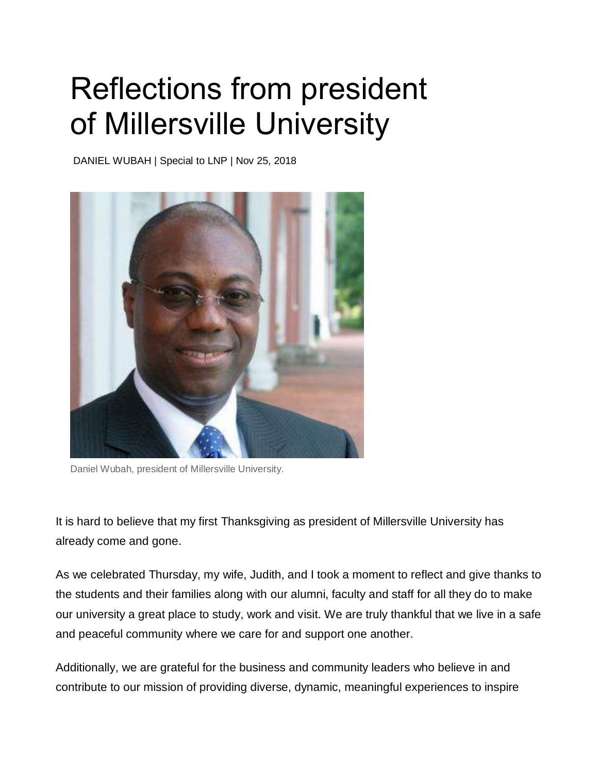## Reflections from president of Millersville University

DANIEL WUBAH | Special to LNP | Nov 25, 2018



Daniel Wubah, president of Millersville University.

It is hard to believe that my first Thanksgiving as president of Millersville University has already come and gone.

As we celebrated Thursday, my wife, Judith, and I took a moment to reflect and give thanks to the students and their families along with our alumni, faculty and staff for all they do to make our university a great place to study, work and visit. We are truly thankful that we live in a safe and peaceful community where we care for and support one another.

Additionally, we are grateful for the business and community leaders who believe in and contribute to our mission of providing diverse, dynamic, meaningful experiences to inspire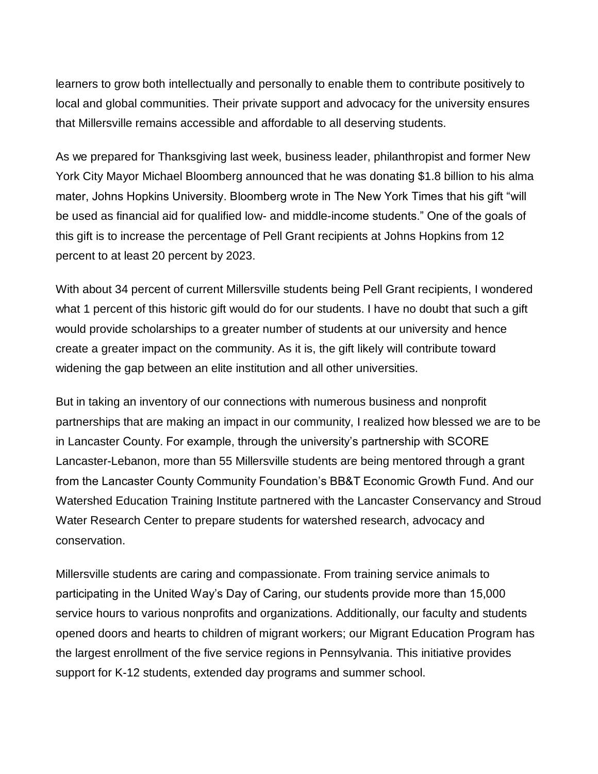learners to grow both intellectually and personally to enable them to contribute positively to local and global communities. Their private support and advocacy for the university ensures that Millersville remains accessible and affordable to all deserving students.

As we prepared for Thanksgiving last week, business leader, philanthropist and former New York City Mayor Michael Bloomberg announced that he was donating \$1.8 billion to his alma mater, Johns Hopkins University. Bloomberg wrote in The New York Times that his gift "will be used as financial aid for qualified low- and middle-income students." One of the goals of this gift is to increase the percentage of Pell Grant recipients at Johns Hopkins from 12 percent to at least 20 percent by 2023.

With about 34 percent of current Millersville students being Pell Grant recipients, I wondered what 1 percent of this historic gift would do for our students. I have no doubt that such a gift would provide scholarships to a greater number of students at our university and hence create a greater impact on the community. As it is, the gift likely will contribute toward widening the gap between an elite institution and all other universities.

But in taking an inventory of our connections with numerous business and nonprofit partnerships that are making an impact in our community, I realized how blessed we are to be in Lancaster County. For example, through the university's partnership with SCORE Lancaster-Lebanon, more than 55 Millersville students are being mentored through a grant from the Lancaster County Community Foundation's BB&T Economic Growth Fund. And our Watershed Education Training Institute partnered with the Lancaster Conservancy and Stroud Water Research Center to prepare students for watershed research, advocacy and conservation.

Millersville students are caring and compassionate. From training service animals to participating in the United Way's Day of Caring, our students provide more than 15,000 service hours to various nonprofits and organizations. Additionally, our faculty and students opened doors and hearts to children of migrant workers; our Migrant Education Program has the largest enrollment of the five service regions in Pennsylvania. This initiative provides support for K-12 students, extended day programs and summer school.